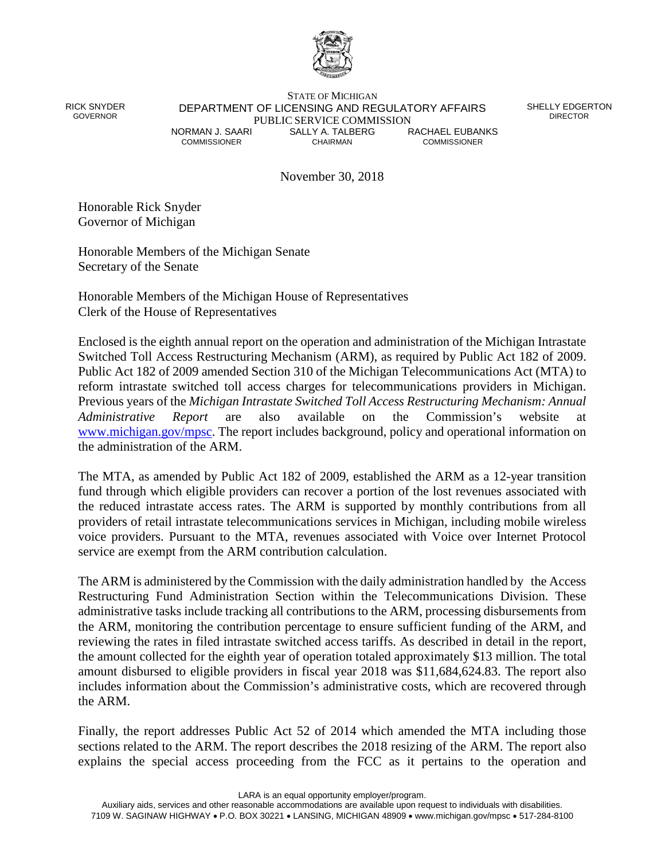

RICK SNYDER GOVERNOR

STATE OF MICHIGAN DEPARTMENT OF LICENSING AND REGULATORY AFFAIRS PUBLIC SERVICE COMMISSION<br>NORMAN J. SAARI SALLY A. TALBERG **Y A. TALBERG** RACHAEL EUBANKS COMMISSIONER CHAIRMAN COMMISSIONER

SHELLY EDGERTON **DIRECTOR** 

November 30, 2018

Honorable Rick Snyder Governor of Michigan

Honorable Members of the Michigan Senate Secretary of the Senate

Honorable Members of the Michigan House of Representatives Clerk of the House of Representatives

Enclosed is the eighth annual report on the operation and administration of the Michigan Intrastate Switched Toll Access Restructuring Mechanism (ARM), as required by Public Act 182 of 2009. Public Act 182 of 2009 amended Section 310 of the Michigan Telecommunications Act (MTA) to reform intrastate switched toll access charges for telecommunications providers in Michigan. Previous years of the *Michigan Intrastate Switched Toll Access Restructuring Mechanism: Annual Administrative Report* are also available on the Commission's website at [www.michigan.gov/mpsc.](http://www.michigan.gov/mpsc) The report includes background, policy and operational information on the administration of the ARM.

The MTA, as amended by Public Act 182 of 2009, established the ARM as a 12-year transition fund through which eligible providers can recover a portion of the lost revenues associated with the reduced intrastate access rates. The ARM is supported by monthly contributions from all providers of retail intrastate telecommunications services in Michigan, including mobile wireless voice providers. Pursuant to the MTA, revenues associated with Voice over Internet Protocol service are exempt from the ARM contribution calculation.

The ARM is administered by the Commission with the daily administration handled by the Access Restructuring Fund Administration Section within the Telecommunications Division. These administrative tasks include tracking all contributions to the ARM, processing disbursements from the ARM, monitoring the contribution percentage to ensure sufficient funding of the ARM, and reviewing the rates in filed intrastate switched access tariffs. As described in detail in the report, the amount collected for the eighth year of operation totaled approximately \$13 million. The total amount disbursed to eligible providers in fiscal year 2018 was \$11,684,624.83. The report also includes information about the Commission's administrative costs, which are recovered through the ARM.

Finally, the report addresses Public Act 52 of 2014 which amended the MTA including those sections related to the ARM. The report describes the 2018 resizing of the ARM. The report also explains the special access proceeding from the FCC as it pertains to the operation and

LARA is an equal opportunity employer/program.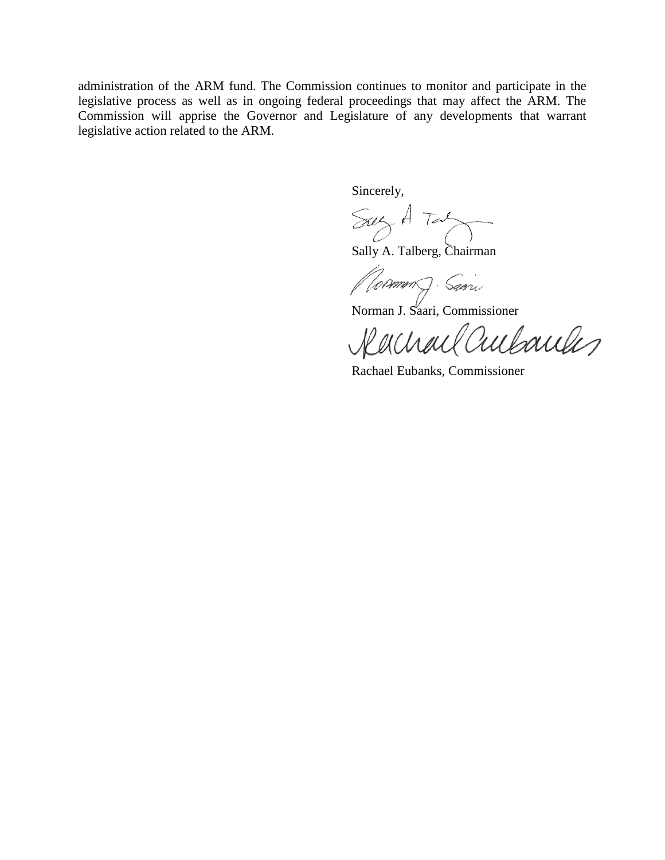administration of the ARM fund. The Commission continues to monitor and participate in the legislative process as well as in ongoing federal proceedings that may affect the ARM. The Commission will apprise the Governor and Legislature of any developments that warrant legislative action related to the ARM.

Sincerely,

Say A Taly

Sally A. Talberg, Chairman

*(Common)* Saari

Norman J. Saari, Commissioner

Rachael Cultaules

Rachael Eubanks, Commissioner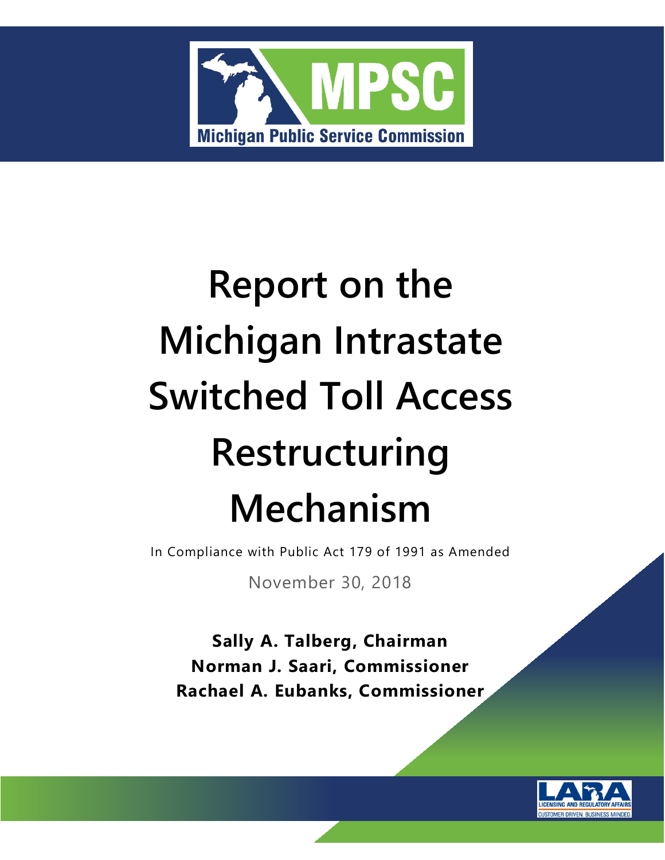

# **Report on the Michigan Intrastate Switched Toll Access Restructuring Mechanism**

In Compliance with Public Act 179 of 1991 as Amended

November 30, 2018

**Sally A. Talberg, Chairman Norman J. Saari, Commissioner Rachael A. Eubanks, Commissioner**

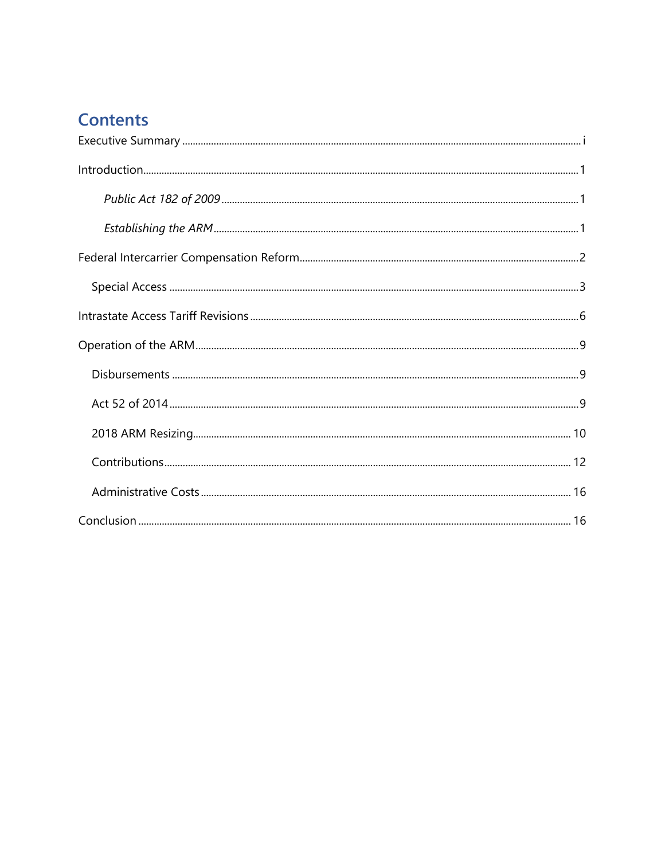# **Contents**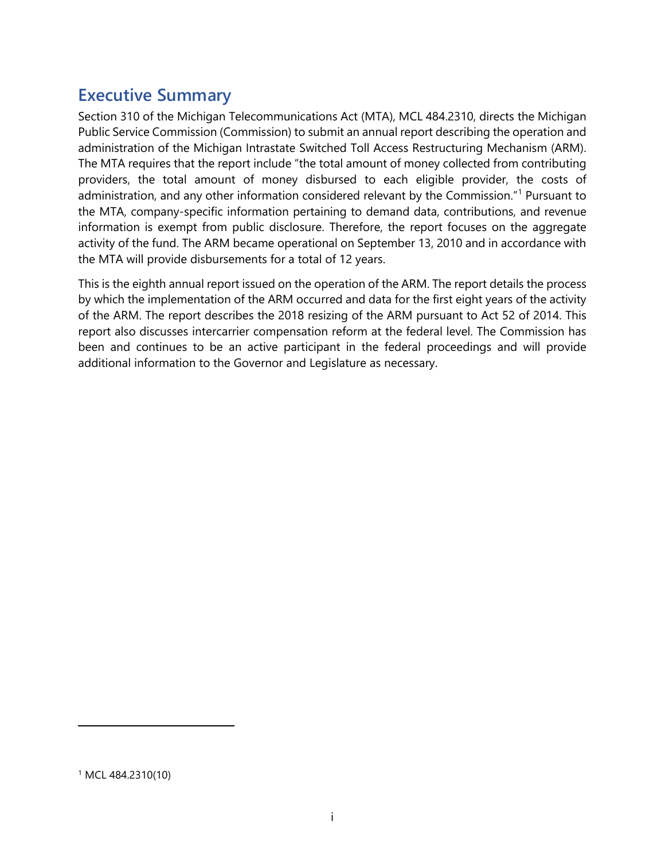## <span id="page-5-0"></span>**Executive Summary**

Section 310 of the Michigan Telecommunications Act (MTA), MCL 484.2310, directs the Michigan Public Service Commission (Commission) to submit an annual report describing the operation and administration of the Michigan Intrastate Switched Toll Access Restructuring Mechanism (ARM). The MTA requires that the report include "the total amount of money collected from contributing providers, the total amount of money disbursed to each eligible provider, the costs of administration, and any other information considered relevant by the Commission."<sup>[1](#page-5-1)</sup> Pursuant to the MTA, company-specific information pertaining to demand data, contributions, and revenue information is exempt from public disclosure. Therefore, the report focuses on the aggregate activity of the fund. The ARM became operational on September 13, 2010 and in accordance with the MTA will provide disbursements for a total of 12 years.

<span id="page-5-1"></span>This is the eighth annual report issued on the operation of the ARM. The report details the process by which the implementation of the ARM occurred and data for the first eight years of the activity of the ARM. The report describes the 2018 resizing of the ARM pursuant to Act 52 of 2014. This report also discusses intercarrier compensation reform at the federal level. The Commission has been and continues to be an active participant in the federal proceedings and will provide additional information to the Governor and Legislature as necessary.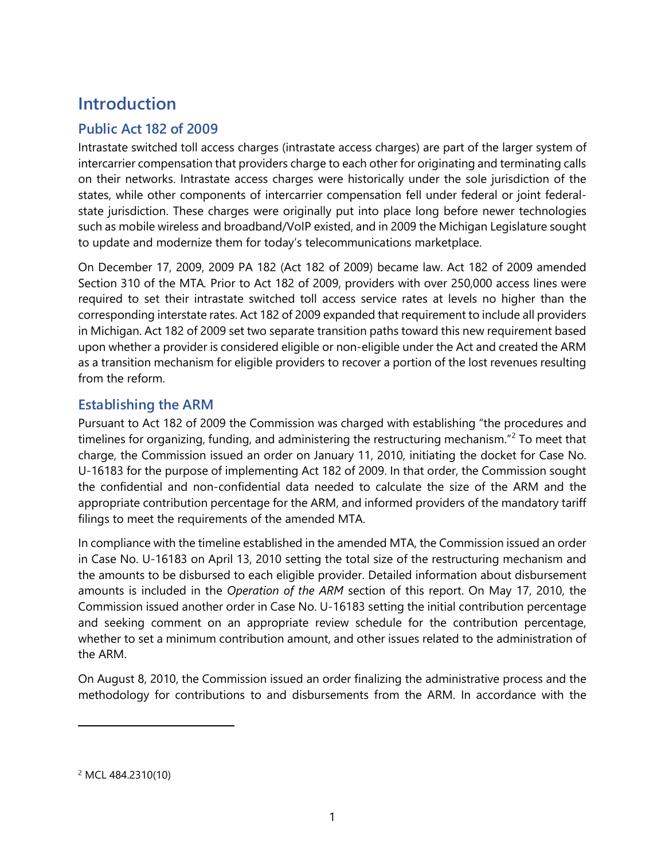## <span id="page-6-0"></span>**Introduction**

#### <span id="page-6-1"></span>**Public Act 182 of 2009**

Intrastate switched toll access charges (intrastate access charges) are part of the larger system of intercarrier compensation that providers charge to each other for originating and terminating calls on their networks. Intrastate access charges were historically under the sole jurisdiction of the states, while other components of intercarrier compensation fell under federal or joint federalstate jurisdiction. These charges were originally put into place long before newer technologies such as mobile wireless and broadband/VoIP existed, and in 2009 the Michigan Legislature sought to update and modernize them for today's telecommunications marketplace.

On December 17, 2009, 2009 PA 182 (Act 182 of 2009) became law. Act 182 of 2009 amended Section 310 of the MTA*.* Prior to Act 182 of 2009, providers with over 250,000 access lines were required to set their intrastate switched toll access service rates at levels no higher than the corresponding interstate rates. Act 182 of 2009 expanded that requirement to include all providers in Michigan. Act 182 of 2009 set two separate transition paths toward this new requirement based upon whether a provider is considered eligible or non-eligible under the Act and created the ARM as a transition mechanism for eligible providers to recover a portion of the lost revenues resulting from the reform.

#### <span id="page-6-2"></span>**Establishing the ARM**

Pursuant to Act 182 of 2009 the Commission was charged with establishing "the procedures and timelines for organizing, funding, and administering the restructuring mechanism."<sup>[2](#page-6-3)</sup> To meet that charge, the Commission issued an order on January 11, 2010, initiating the docket for Case No. U-16183 for the purpose of implementing Act 182 of 2009. In that order, the Commission sought the confidential and non-confidential data needed to calculate the size of the ARM and the appropriate contribution percentage for the ARM, and informed providers of the mandatory tariff filings to meet the requirements of the amended MTA.

In compliance with the timeline established in the amended MTA, the Commission issued an order in Case No. U-16183 on April 13, 2010 setting the total size of the restructuring mechanism and the amounts to be disbursed to each eligible provider. Detailed information about disbursement amounts is included in the *Operation of the ARM* section of this report. On May 17, 2010, the Commission issued another order in Case No. U-16183 setting the initial contribution percentage and seeking comment on an appropriate review schedule for the contribution percentage, whether to set a minimum contribution amount, and other issues related to the administration of the ARM.

On August 8, 2010, the Commission issued an order finalizing the administrative process and the methodology for contributions to and disbursements from the ARM. In accordance with the

<span id="page-6-3"></span><sup>2</sup> MCL 484.2310(10)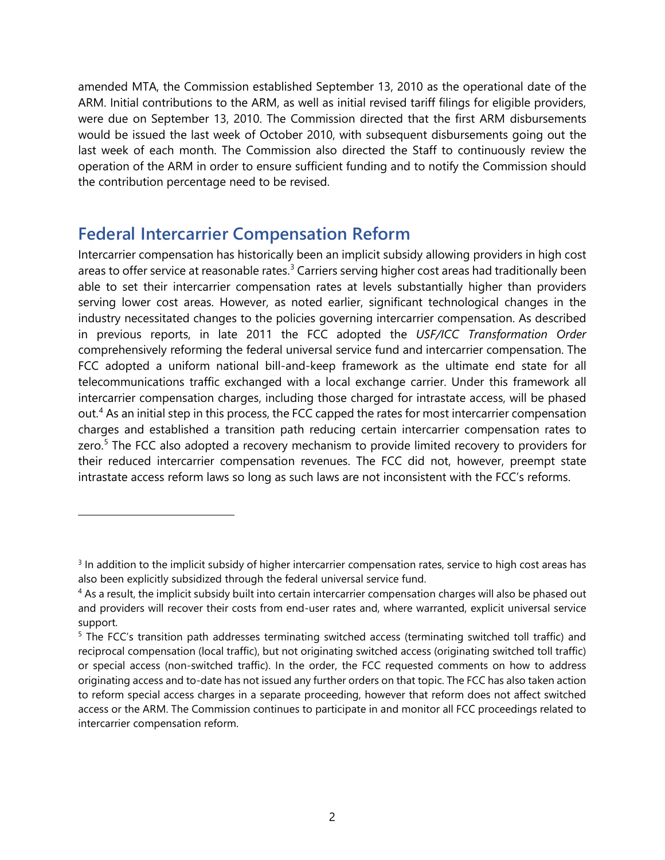amended MTA, the Commission established September 13, 2010 as the operational date of the ARM. Initial contributions to the ARM, as well as initial revised tariff filings for eligible providers, were due on September 13, 2010. The Commission directed that the first ARM disbursements would be issued the last week of October 2010, with subsequent disbursements going out the last week of each month. The Commission also directed the Staff to continuously review the operation of the ARM in order to ensure sufficient funding and to notify the Commission should the contribution percentage need to be revised.

## <span id="page-7-0"></span>**Federal Intercarrier Compensation Reform**

 $\ddot{\phantom{a}}$ 

Intercarrier compensation has historically been an implicit subsidy allowing providers in high cost areas to offer service at reasonable rates.<sup>[3](#page-7-1)</sup> Carriers serving higher cost areas had traditionally been able to set their intercarrier compensation rates at levels substantially higher than providers serving lower cost areas. However, as noted earlier, significant technological changes in the industry necessitated changes to the policies governing intercarrier compensation. As described in previous reports, in late 2011 the FCC adopted the *USF/ICC Transformation Order*  comprehensively reforming the federal universal service fund and intercarrier compensation. The FCC adopted a uniform national bill-and-keep framework as the ultimate end state for all telecommunications traffic exchanged with a local exchange carrier. Under this framework all intercarrier compensation charges, including those charged for intrastate access, will be phased out.<sup>[4](#page-7-2)</sup> As an initial step in this process, the FCC capped the rates for most intercarrier compensation charges and established a transition path reducing certain intercarrier compensation rates to zero.<sup>[5](#page-7-3)</sup> The FCC also adopted a recovery mechanism to provide limited recovery to providers for their reduced intercarrier compensation revenues. The FCC did not, however, preempt state intrastate access reform laws so long as such laws are not inconsistent with the FCC's reforms.

<span id="page-7-1"></span><sup>&</sup>lt;sup>3</sup> In addition to the implicit subsidy of higher intercarrier compensation rates, service to high cost areas has also been explicitly subsidized through the federal universal service fund.

<span id="page-7-2"></span><sup>&</sup>lt;sup>4</sup> As a result, the implicit subsidy built into certain intercarrier compensation charges will also be phased out and providers will recover their costs from end-user rates and, where warranted, explicit universal service support.

<span id="page-7-3"></span><sup>5</sup> The FCC's transition path addresses terminating switched access (terminating switched toll traffic) and reciprocal compensation (local traffic), but not originating switched access (originating switched toll traffic) or special access (non-switched traffic). In the order, the FCC requested comments on how to address originating access and to-date has not issued any further orders on that topic. The FCC has also taken action to reform special access charges in a separate proceeding, however that reform does not affect switched access or the ARM. The Commission continues to participate in and monitor all FCC proceedings related to intercarrier compensation reform.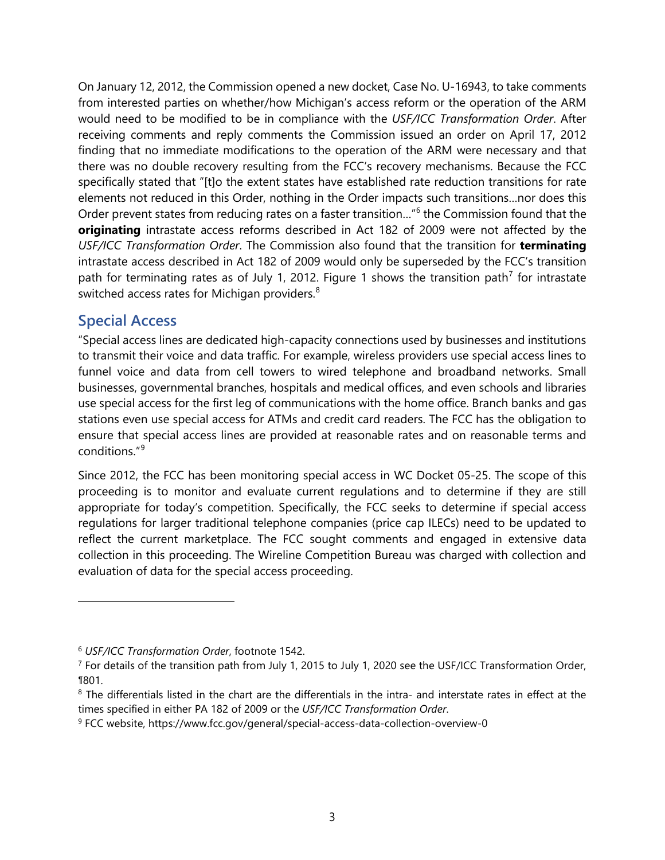On January 12, 2012, the Commission opened a new docket, Case No. U-16943, to take comments from interested parties on whether/how Michigan's access reform or the operation of the ARM would need to be modified to be in compliance with the *USF/ICC Transformation Order*. After receiving comments and reply comments the Commission issued an order on April 17, 2012 finding that no immediate modifications to the operation of the ARM were necessary and that there was no double recovery resulting from the FCC's recovery mechanisms. Because the FCC specifically stated that "[t]o the extent states have established rate reduction transitions for rate elements not reduced in this Order, nothing in the Order impacts such transitions…nor does this Order prevent states from reducing rates on a faster transition…"[6](#page-8-1) the Commission found that the **originating** intrastate access reforms described in Act 182 of 2009 were not affected by the *USF/ICC Transformation Order*. The Commission also found that the transition for **terminating** intrastate access described in Act 182 of 2009 would only be superseded by the FCC's transition path for terminating rates as of July 1, 2012. Figure 1 shows the transition path<sup>[7](#page-8-2)</sup> for intrastate switched access rates for Michigan providers. $8$ 

#### <span id="page-8-0"></span>**Special Access**

 $\ddot{\phantom{a}}$ 

"Special access lines are dedicated high-capacity connections used by businesses and institutions to transmit their voice and data traffic. For example, wireless providers use special access lines to funnel voice and data from cell towers to wired telephone and broadband networks. Small businesses, governmental branches, hospitals and medical offices, and even schools and libraries use special access for the first leg of communications with the home office. Branch banks and gas stations even use special access for ATMs and credit card readers. The FCC has the obligation to ensure that special access lines are provided at reasonable rates and on reasonable terms and conditions."[9](#page-8-4)

Since 2012, the FCC has been monitoring special access in WC Docket 05-25. The scope of this proceeding is to monitor and evaluate current regulations and to determine if they are still appropriate for today's competition. Specifically, the FCC seeks to determine if special access regulations for larger traditional telephone companies (price cap ILECs) need to be updated to reflect the current marketplace. The FCC sought comments and engaged in extensive data collection in this proceeding. The Wireline Competition Bureau was charged with collection and evaluation of data for the special access proceeding.

<span id="page-8-1"></span><sup>6</sup> *USF/ICC Transformation Order*, footnote 1542.

<span id="page-8-2"></span><sup>7</sup> For details of the transition path from July 1, 2015 to July 1, 2020 see the USF/ICC Transformation Order, ¶801.

<span id="page-8-3"></span><sup>&</sup>lt;sup>8</sup> The differentials listed in the chart are the differentials in the intra- and interstate rates in effect at the

<span id="page-8-4"></span>times specified in either PA 182 of 2009 or the *USF/ICC Transformation Order*.<br><sup>9</sup> FCC website, https://www.fcc.gov/general/special-access-data-collection-overview-0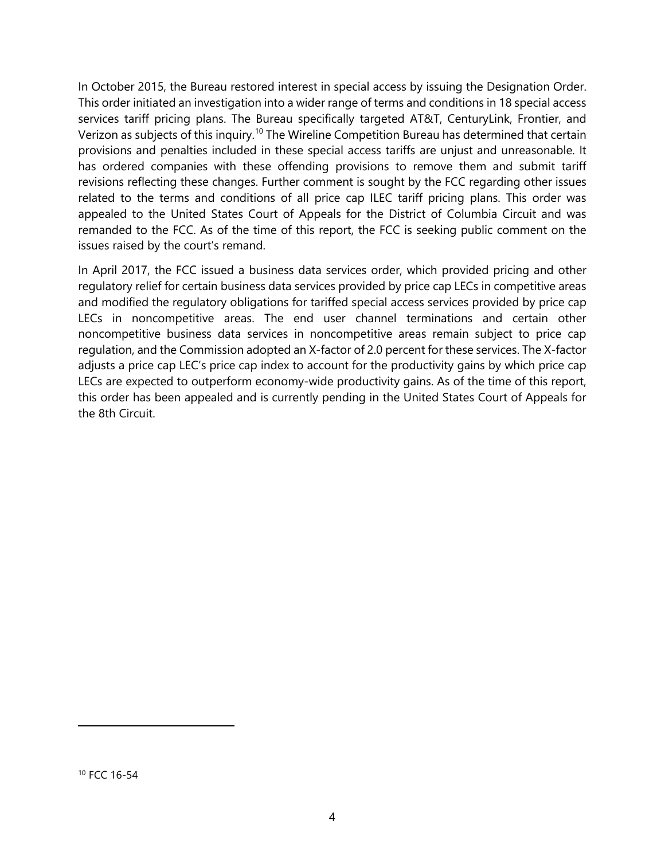In October 2015, the Bureau restored interest in special access by issuing the Designation Order. This order initiated an investigation into a wider range of terms and conditions in 18 special access services tariff pricing plans. The Bureau specifically targeted AT&T, CenturyLink, Frontier, and Verizon as subjects of this inquiry.[10](#page-9-0) The Wireline Competition Bureau has determined that certain provisions and penalties included in these special access tariffs are unjust and unreasonable. It has ordered companies with these offending provisions to remove them and submit tariff revisions reflecting these changes. Further comment is sought by the FCC regarding other issues related to the terms and conditions of all price cap ILEC tariff pricing plans. This order was appealed to the United States Court of Appeals for the District of Columbia Circuit and was remanded to the FCC. As of the time of this report, the FCC is seeking public comment on the issues raised by the court's remand.

<span id="page-9-0"></span>In April 2017, the FCC issued a business data services order, which provided pricing and other regulatory relief for certain business data services provided by price cap LECs in competitive areas and modified the regulatory obligations for tariffed special access services provided by price cap LECs in noncompetitive areas. The end user channel terminations and certain other noncompetitive business data services in noncompetitive areas remain subject to price cap regulation, and the Commission adopted an X-factor of 2.0 percent for these services. The X-factor adjusts a price cap LEC's price cap index to account for the productivity gains by which price cap LECs are expected to outperform economy-wide productivity gains. As of the time of this report, this order has been appealed and is currently pending in the United States Court of Appeals for the 8th Circuit.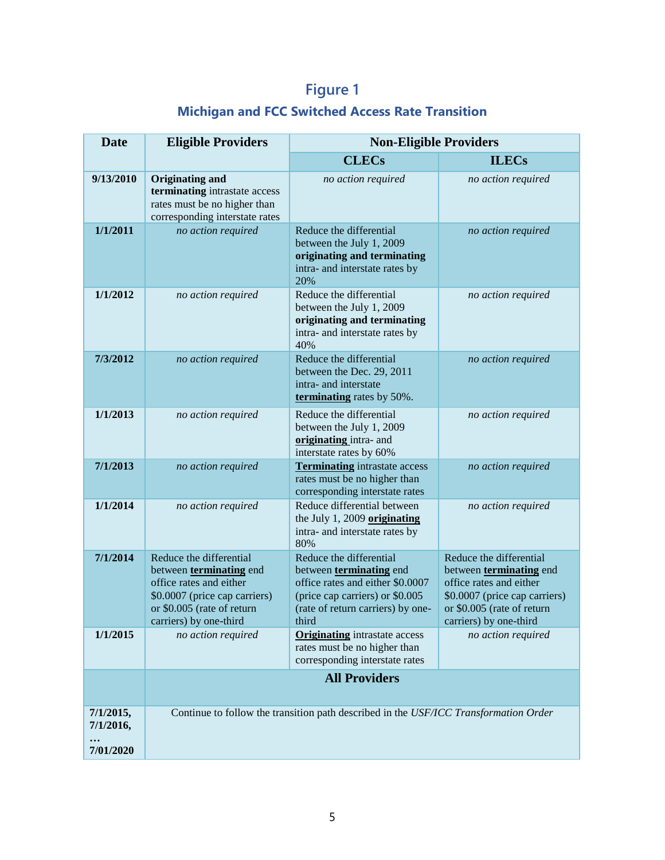# **Figure 1**

## **Michigan and FCC Switched Access Rate Transition**

| <b>Date</b>                                     | <b>Eligible Providers</b>                                                                                                                                              | <b>Non-Eligible Providers</b>                                                                                                                                           |                                                                                                                                                                        |  |
|-------------------------------------------------|------------------------------------------------------------------------------------------------------------------------------------------------------------------------|-------------------------------------------------------------------------------------------------------------------------------------------------------------------------|------------------------------------------------------------------------------------------------------------------------------------------------------------------------|--|
|                                                 |                                                                                                                                                                        | <b>CLECs</b>                                                                                                                                                            | <b>ILECs</b>                                                                                                                                                           |  |
| 9/13/2010                                       | <b>Originating and</b><br>terminating intrastate access<br>rates must be no higher than<br>corresponding interstate rates                                              | no action required                                                                                                                                                      | no action required                                                                                                                                                     |  |
| 1/1/2011                                        | no action required                                                                                                                                                     | Reduce the differential<br>between the July 1, 2009<br>originating and terminating<br>intra- and interstate rates by<br>20%                                             | no action required                                                                                                                                                     |  |
| 1/1/2012                                        | no action required                                                                                                                                                     | Reduce the differential<br>between the July 1, 2009<br>originating and terminating<br>intra- and interstate rates by<br>40%                                             | no action required                                                                                                                                                     |  |
| 7/3/2012                                        | no action required                                                                                                                                                     | Reduce the differential<br>between the Dec. 29, 2011<br>intra- and interstate<br>terminating rates by 50%.                                                              | no action required                                                                                                                                                     |  |
| 1/1/2013                                        | no action required                                                                                                                                                     | Reduce the differential<br>between the July 1, 2009<br>originating intra- and<br>interstate rates by 60%                                                                | no action required                                                                                                                                                     |  |
| 7/1/2013                                        | no action required                                                                                                                                                     | <b>Terminating</b> intrastate access<br>rates must be no higher than<br>corresponding interstate rates                                                                  | no action required                                                                                                                                                     |  |
| 1/1/2014                                        | no action required                                                                                                                                                     | Reduce differential between<br>the July 1, 2009 originating<br>intra- and interstate rates by<br>80%                                                                    | no action required                                                                                                                                                     |  |
| 7/1/2014                                        | Reduce the differential<br>between terminating end<br>office rates and either<br>\$0.0007 (price cap carriers)<br>or \$0.005 (rate of return<br>carriers) by one-third | Reduce the differential<br>between terminating end<br>office rates and either \$0.0007<br>(price cap carriers) or \$0.005<br>(rate of return carriers) by one-<br>third | Reduce the differential<br>between terminating end<br>office rates and either<br>\$0.0007 (price cap carriers)<br>or \$0.005 (rate of return<br>carriers) by one-third |  |
| 1/1/2015                                        | no action required                                                                                                                                                     | <b>Originating</b> intrastate access<br>rates must be no higher than<br>corresponding interstate rates                                                                  | no action required                                                                                                                                                     |  |
|                                                 | <b>All Providers</b>                                                                                                                                                   |                                                                                                                                                                         |                                                                                                                                                                        |  |
| 7/1/2015,<br>7/1/2016,<br>$\cdots$<br>7/01/2020 |                                                                                                                                                                        | Continue to follow the transition path described in the USF/ICC Transformation Order                                                                                    |                                                                                                                                                                        |  |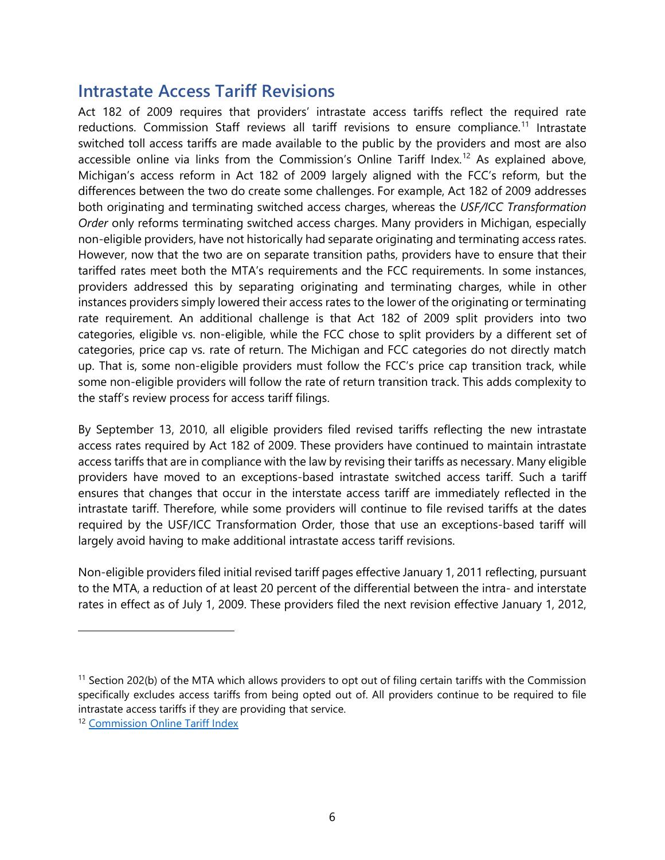### <span id="page-11-0"></span>**Intrastate Access Tariff Revisions**

Act 182 of 2009 requires that providers' intrastate access tariffs reflect the required rate reductions. Commission Staff reviews all tariff revisions to ensure compliance.<sup>[11](#page-11-1)</sup> Intrastate switched toll access tariffs are made available to the public by the providers and most are also accessible online via links from the Commission's Online Tariff Index.<sup>[12](#page-11-2)</sup> As explained above, Michigan's access reform in Act 182 of 2009 largely aligned with the FCC's reform, but the differences between the two do create some challenges. For example, Act 182 of 2009 addresses both originating and terminating switched access charges, whereas the *USF/ICC Transformation Order* only reforms terminating switched access charges. Many providers in Michigan, especially non-eligible providers, have not historically had separate originating and terminating access rates. However, now that the two are on separate transition paths, providers have to ensure that their tariffed rates meet both the MTA's requirements and the FCC requirements. In some instances, providers addressed this by separating originating and terminating charges, while in other instances providers simply lowered their access rates to the lower of the originating or terminating rate requirement. An additional challenge is that Act 182 of 2009 split providers into two categories, eligible vs. non-eligible, while the FCC chose to split providers by a different set of categories, price cap vs. rate of return. The Michigan and FCC categories do not directly match up. That is, some non-eligible providers must follow the FCC's price cap transition track, while some non-eligible providers will follow the rate of return transition track. This adds complexity to the staff's review process for access tariff filings.

By September 13, 2010, all eligible providers filed revised tariffs reflecting the new intrastate access rates required by Act 182 of 2009. These providers have continued to maintain intrastate access tariffs that are in compliance with the law by revising their tariffs as necessary. Many eligible providers have moved to an exceptions-based intrastate switched access tariff. Such a tariff ensures that changes that occur in the interstate access tariff are immediately reflected in the intrastate tariff. Therefore, while some providers will continue to file revised tariffs at the dates required by the USF/ICC Transformation Order, those that use an exceptions-based tariff will largely avoid having to make additional intrastate access tariff revisions.

Non-eligible providers filed initial revised tariff pages effective January 1, 2011 reflecting, pursuant to the MTA, a reduction of at least 20 percent of the differential between the intra- and interstate rates in effect as of July 1, 2009. These providers filed the next revision effective January 1, 2012,

 $\ddot{\phantom{a}}$ 

<span id="page-11-1"></span><sup>&</sup>lt;sup>11</sup> Section 202(b) of the MTA which allows providers to opt out of filing certain tariffs with the Commission specifically excludes access tariffs from being opted out of. All providers continue to be required to file intrastate access tariffs if they are providing that service.

<span id="page-11-2"></span><sup>12</sup> [Commission Online Tariff Index](https://www.michigan.gov/mpsc/0,4639,7-159-16372-395392--,00.html#tab=A)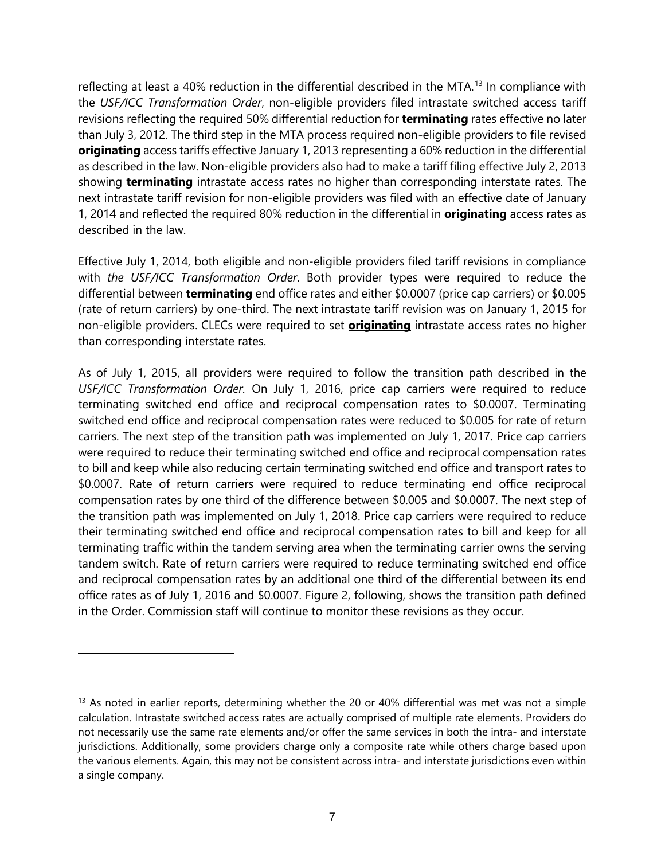reflecting at least a 40% reduction in the differential described in the MTA.<sup>[13](#page-12-0)</sup> In compliance with the *USF/ICC Transformation Order*, non-eligible providers filed intrastate switched access tariff revisions reflecting the required 50% differential reduction for **terminating** rates effective no later than July 3, 2012. The third step in the MTA process required non-eligible providers to file revised **originating** access tariffs effective January 1, 2013 representing a 60% reduction in the differential as described in the law. Non-eligible providers also had to make a tariff filing effective July 2, 2013 showing **terminating** intrastate access rates no higher than corresponding interstate rates. The next intrastate tariff revision for non-eligible providers was filed with an effective date of January 1, 2014 and reflected the required 80% reduction in the differential in **originating** access rates as described in the law.

Effective July 1, 2014, both eligible and non-eligible providers filed tariff revisions in compliance with *the USF/ICC Transformation Order*. Both provider types were required to reduce the differential between **terminating** end office rates and either \$0.0007 (price cap carriers) or \$0.005 (rate of return carriers) by one-third. The next intrastate tariff revision was on January 1, 2015 for non-eligible providers. CLECs were required to set **originating** intrastate access rates no higher than corresponding interstate rates.

As of July 1, 2015, all providers were required to follow the transition path described in the *USF/ICC Transformation Order.* On July 1, 2016, price cap carriers were required to reduce terminating switched end office and reciprocal compensation rates to \$0.0007. Terminating switched end office and reciprocal compensation rates were reduced to \$0.005 for rate of return carriers. The next step of the transition path was implemented on July 1, 2017. Price cap carriers were required to reduce their terminating switched end office and reciprocal compensation rates to bill and keep while also reducing certain terminating switched end office and transport rates to \$0.0007. Rate of return carriers were required to reduce terminating end office reciprocal compensation rates by one third of the difference between \$0.005 and \$0.0007. The next step of the transition path was implemented on July 1, 2018. Price cap carriers were required to reduce their terminating switched end office and reciprocal compensation rates to bill and keep for all terminating traffic within the tandem serving area when the terminating carrier owns the serving tandem switch. Rate of return carriers were required to reduce terminating switched end office and reciprocal compensation rates by an additional one third of the differential between its end office rates as of July 1, 2016 and \$0.0007. Figure 2, following, shows the transition path defined in the Order. Commission staff will continue to monitor these revisions as they occur.

<span id="page-12-0"></span><sup>&</sup>lt;sup>13</sup> As noted in earlier reports, determining whether the 20 or 40% differential was met was not a simple calculation. Intrastate switched access rates are actually comprised of multiple rate elements. Providers do not necessarily use the same rate elements and/or offer the same services in both the intra- and interstate jurisdictions. Additionally, some providers charge only a composite rate while others charge based upon the various elements. Again, this may not be consistent across intra- and interstate jurisdictions even within a single company.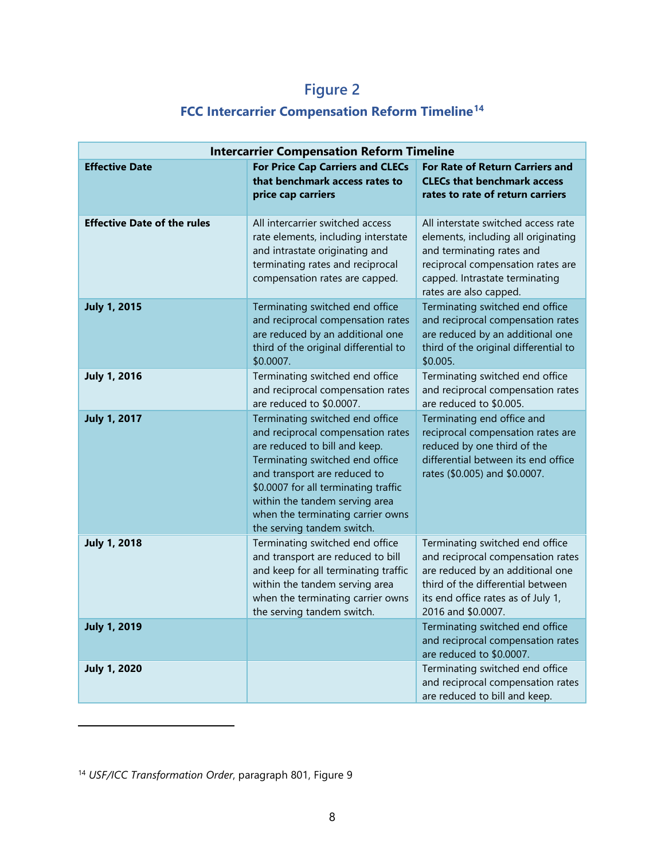# **Figure 2**

## **FCC Intercarrier Compensation Reform Timeline[14](#page-13-0)**

| <b>Intercarrier Compensation Reform Timeline</b> |                                                                                                                                                                                                                                                                                                                       |                                                                                                                                                                                                           |  |  |
|--------------------------------------------------|-----------------------------------------------------------------------------------------------------------------------------------------------------------------------------------------------------------------------------------------------------------------------------------------------------------------------|-----------------------------------------------------------------------------------------------------------------------------------------------------------------------------------------------------------|--|--|
| <b>Effective Date</b>                            | <b>For Price Cap Carriers and CLECs</b><br>that benchmark access rates to<br>price cap carriers                                                                                                                                                                                                                       | <b>For Rate of Return Carriers and</b><br><b>CLECs that benchmark access</b><br>rates to rate of return carriers                                                                                          |  |  |
| <b>Effective Date of the rules</b>               | All intercarrier switched access<br>rate elements, including interstate<br>and intrastate originating and<br>terminating rates and reciprocal<br>compensation rates are capped.                                                                                                                                       | All interstate switched access rate<br>elements, including all originating<br>and terminating rates and<br>reciprocal compensation rates are<br>capped. Intrastate terminating<br>rates are also capped.  |  |  |
| <b>July 1, 2015</b>                              | Terminating switched end office<br>and reciprocal compensation rates<br>are reduced by an additional one<br>third of the original differential to<br>\$0.0007.                                                                                                                                                        | Terminating switched end office<br>and reciprocal compensation rates<br>are reduced by an additional one<br>third of the original differential to<br>\$0.005.                                             |  |  |
| <b>July 1, 2016</b>                              | Terminating switched end office<br>and reciprocal compensation rates<br>are reduced to \$0.0007.                                                                                                                                                                                                                      | Terminating switched end office<br>and reciprocal compensation rates<br>are reduced to \$0.005.                                                                                                           |  |  |
| <b>July 1, 2017</b>                              | Terminating switched end office<br>and reciprocal compensation rates<br>are reduced to bill and keep.<br>Terminating switched end office<br>and transport are reduced to<br>\$0.0007 for all terminating traffic<br>within the tandem serving area<br>when the terminating carrier owns<br>the serving tandem switch. | Terminating end office and<br>reciprocal compensation rates are<br>reduced by one third of the<br>differential between its end office<br>rates (\$0.005) and \$0.0007.                                    |  |  |
| <b>July 1, 2018</b>                              | Terminating switched end office<br>and transport are reduced to bill<br>and keep for all terminating traffic<br>within the tandem serving area<br>when the terminating carrier owns<br>the serving tandem switch.                                                                                                     | Terminating switched end office<br>and reciprocal compensation rates<br>are reduced by an additional one<br>third of the differential between<br>its end office rates as of July 1,<br>2016 and \$0.0007. |  |  |
| <b>July 1, 2019</b>                              |                                                                                                                                                                                                                                                                                                                       | Terminating switched end office<br>and reciprocal compensation rates<br>are reduced to \$0.0007.                                                                                                          |  |  |
| <b>July 1, 2020</b>                              |                                                                                                                                                                                                                                                                                                                       | Terminating switched end office<br>and reciprocal compensation rates<br>are reduced to bill and keep.                                                                                                     |  |  |

<span id="page-13-0"></span><sup>14</sup> *USF/ICC Transformation Order*, paragraph 801, Figure 9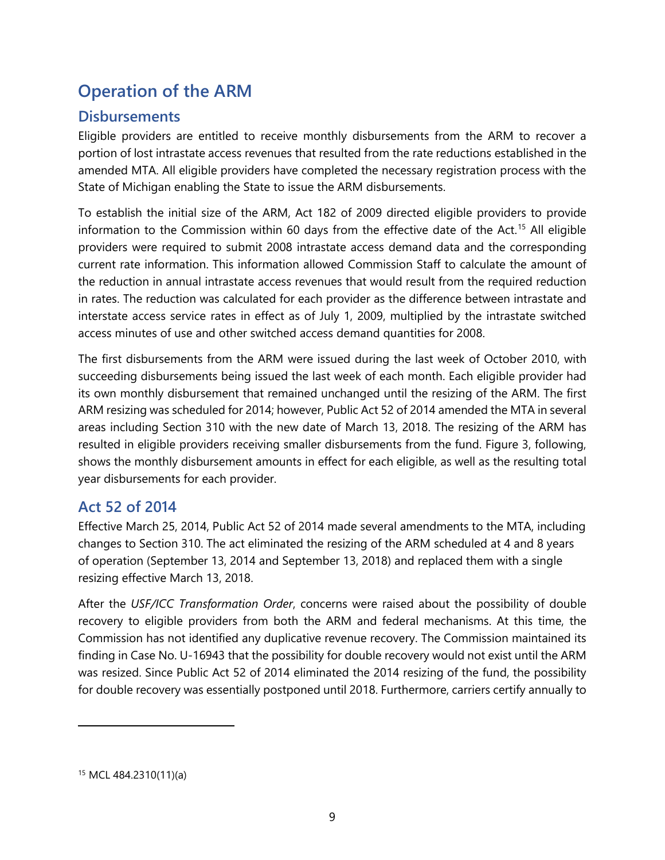# <span id="page-14-0"></span>**Operation of the ARM**

#### <span id="page-14-1"></span>**Disbursements**

Eligible providers are entitled to receive monthly disbursements from the ARM to recover a portion of lost intrastate access revenues that resulted from the rate reductions established in the amended MTA. All eligible providers have completed the necessary registration process with the State of Michigan enabling the State to issue the ARM disbursements.

To establish the initial size of the ARM, Act 182 of 2009 directed eligible providers to provide information to the Commission within 60 days from the effective date of the Act.<sup>[15](#page-14-3)</sup> All eligible providers were required to submit 2008 intrastate access demand data and the corresponding current rate information. This information allowed Commission Staff to calculate the amount of the reduction in annual intrastate access revenues that would result from the required reduction in rates. The reduction was calculated for each provider as the difference between intrastate and interstate access service rates in effect as of July 1, 2009, multiplied by the intrastate switched access minutes of use and other switched access demand quantities for 2008.

The first disbursements from the ARM were issued during the last week of October 2010, with succeeding disbursements being issued the last week of each month. Each eligible provider had its own monthly disbursement that remained unchanged until the resizing of the ARM. The first ARM resizing was scheduled for 2014; however, Public Act 52 of 2014 amended the MTA in several areas including Section 310 with the new date of March 13, 2018. The resizing of the ARM has resulted in eligible providers receiving smaller disbursements from the fund. Figure 3, following, shows the monthly disbursement amounts in effect for each eligible, as well as the resulting total year disbursements for each provider.

#### <span id="page-14-2"></span>**Act 52 of 2014**

Effective March 25, 2014, Public Act 52 of 2014 made several amendments to the MTA, including changes to Section 310. The act eliminated the resizing of the ARM scheduled at 4 and 8 years of operation (September 13, 2014 and September 13, 2018) and replaced them with a single resizing effective March 13, 2018.

After the *USF/ICC Transformation Order*, concerns were raised about the possibility of double recovery to eligible providers from both the ARM and federal mechanisms. At this time, the Commission has not identified any duplicative revenue recovery. The Commission maintained its finding in Case No. U-16943 that the possibility for double recovery would not exist until the ARM was resized. Since Public Act 52 of 2014 eliminated the 2014 resizing of the fund, the possibility for double recovery was essentially postponed until 2018. Furthermore, carriers certify annually to

<span id="page-14-3"></span><sup>15</sup> MCL 484.2310(11)(a)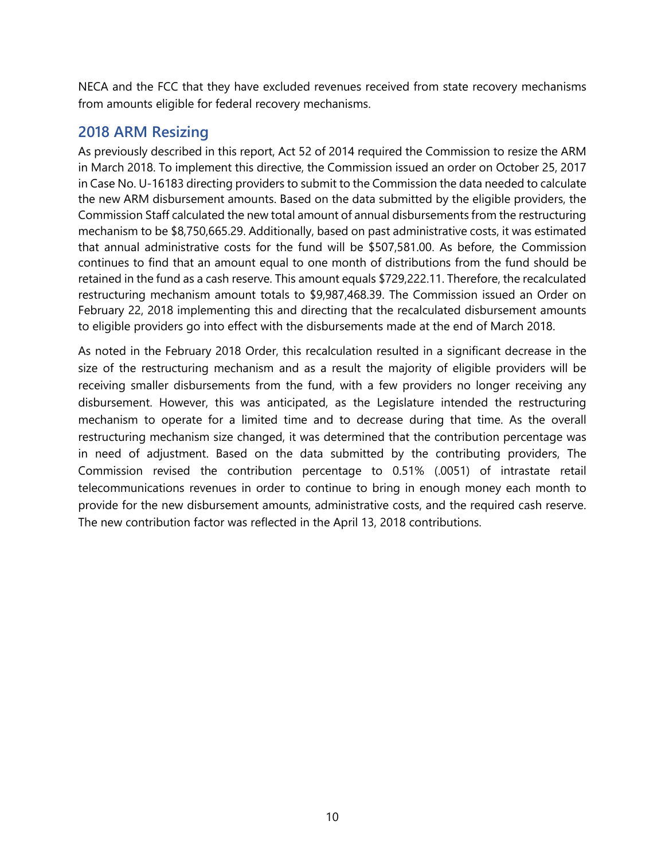NECA and the FCC that they have excluded revenues received from state recovery mechanisms from amounts eligible for federal recovery mechanisms.

#### <span id="page-15-0"></span>**2018 ARM Resizing**

As previously described in this report, Act 52 of 2014 required the Commission to resize the ARM in March 2018. To implement this directive, the Commission issued an order on October 25, 2017 in Case No. U-16183 directing providers to submit to the Commission the data needed to calculate the new ARM disbursement amounts. Based on the data submitted by the eligible providers, the Commission Staff calculated the new total amount of annual disbursements from the restructuring mechanism to be \$8,750,665.29. Additionally, based on past administrative costs, it was estimated that annual administrative costs for the fund will be \$507,581.00. As before, the Commission continues to find that an amount equal to one month of distributions from the fund should be retained in the fund as a cash reserve. This amount equals \$729,222.11. Therefore, the recalculated restructuring mechanism amount totals to \$9,987,468.39. The Commission issued an Order on February 22, 2018 implementing this and directing that the recalculated disbursement amounts to eligible providers go into effect with the disbursements made at the end of March 2018.

As noted in the February 2018 Order, this recalculation resulted in a significant decrease in the size of the restructuring mechanism and as a result the majority of eligible providers will be receiving smaller disbursements from the fund, with a few providers no longer receiving any disbursement. However, this was anticipated, as the Legislature intended the restructuring mechanism to operate for a limited time and to decrease during that time. As the overall restructuring mechanism size changed, it was determined that the contribution percentage was in need of adjustment. Based on the data submitted by the contributing providers, The Commission revised the contribution percentage to 0.51% (.0051) of intrastate retail telecommunications revenues in order to continue to bring in enough money each month to provide for the new disbursement amounts, administrative costs, and the required cash reserve. The new contribution factor was reflected in the April 13, 2018 contributions.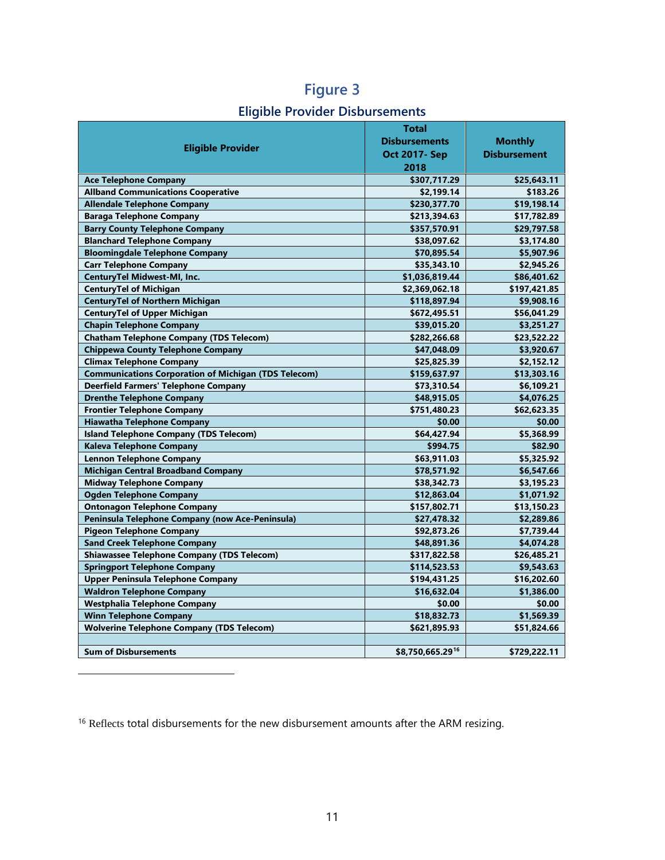## **Eligible Provider Disbursements**

|                                                             | <b>Total</b>         |                     |
|-------------------------------------------------------------|----------------------|---------------------|
| <b>Eligible Provider</b>                                    | <b>Disbursements</b> | <b>Monthly</b>      |
|                                                             | <b>Oct 2017- Sep</b> | <b>Disbursement</b> |
|                                                             | 2018                 |                     |
| <b>Ace Telephone Company</b>                                | \$307,717.29         | \$25,643.11         |
| <b>Allband Communications Cooperative</b>                   | \$2,199.14           | \$183.26            |
| <b>Allendale Telephone Company</b>                          | \$230,377.70         | \$19,198.14         |
| <b>Baraga Telephone Company</b>                             | \$213,394.63         | \$17,782.89         |
| <b>Barry County Telephone Company</b>                       | \$357,570.91         | \$29,797.58         |
| <b>Blanchard Telephone Company</b>                          | \$38,097.62          | \$3,174.80          |
| <b>Bloomingdale Telephone Company</b>                       | \$70,895.54          | \$5,907.96          |
| <b>Carr Telephone Company</b>                               | \$35,343.10          | \$2,945.26          |
| <b>CenturyTel Midwest-MI, Inc.</b>                          | \$1,036,819.44       | \$86,401.62         |
| <b>CenturyTel of Michigan</b>                               | \$2,369,062.18       | \$197,421.85        |
| <b>CenturyTel of Northern Michigan</b>                      | \$118,897.94         | \$9,908.16          |
| <b>CenturyTel of Upper Michigan</b>                         | \$672,495.51         | \$56,041.29         |
| <b>Chapin Telephone Company</b>                             | \$39,015.20          | \$3,251.27          |
| <b>Chatham Telephone Company (TDS Telecom)</b>              | \$282,266.68         | \$23,522.22         |
| <b>Chippewa County Telephone Company</b>                    | \$47,048.09          | \$3,920.67          |
| <b>Climax Telephone Company</b>                             | \$25,825.39          | \$2,152.12          |
| <b>Communications Corporation of Michigan (TDS Telecom)</b> | \$159,637.97         | \$13,303.16         |
| <b>Deerfield Farmers' Telephone Company</b>                 | \$73,310.54          | \$6,109.21          |
| <b>Drenthe Telephone Company</b>                            | \$48,915.05          | \$4,076.25          |
| <b>Frontier Telephone Company</b>                           | \$751,480.23         | \$62,623.35         |
| <b>Hiawatha Telephone Company</b>                           | \$0.00               | \$0.00              |
| <b>Island Telephone Company (TDS Telecom)</b>               | \$64,427.94          | \$5,368.99          |
| <b>Kaleva Telephone Company</b>                             | \$994.75             | \$82.90             |
| <b>Lennon Telephone Company</b>                             | \$63,911.03          | \$5,325.92          |
| <b>Michigan Central Broadband Company</b>                   | \$78,571.92          | \$6,547.66          |
| <b>Midway Telephone Company</b>                             | \$38,342.73          | \$3,195.23          |
| <b>Ogden Telephone Company</b>                              | \$12,863.04          | \$1,071.92          |
| <b>Ontonagon Telephone Company</b>                          | \$157,802.71         | \$13,150.23         |
| Peninsula Telephone Company (now Ace-Peninsula)             | \$27,478.32          | \$2,289.86          |
| <b>Pigeon Telephone Company</b>                             | \$92,873.26          | \$7,739.44          |
| <b>Sand Creek Telephone Company</b>                         | \$48,891.36          | \$4,074.28          |
| <b>Shiawassee Telephone Company (TDS Telecom)</b>           | \$317,822.58         | \$26,485.21         |
| <b>Springport Telephone Company</b>                         | \$114,523.53         | \$9,543.63          |
| <b>Upper Peninsula Telephone Company</b>                    | \$194,431.25         | \$16,202.60         |
| <b>Waldron Telephone Company</b>                            | \$16,632.04          | \$1,386.00          |
| Westphalia Telephone Company                                | \$0.00               | \$0.00              |
| <b>Winn Telephone Company</b>                               | \$18,832.73          | \$1,569.39          |
| <b>Wolverine Telephone Company (TDS Telecom)</b>            | \$621,895.93         | \$51,824.66         |
|                                                             |                      |                     |
| <b>Sum of Disbursements</b>                                 | \$8,750,665.2916     | \$729,222.11        |

<span id="page-16-0"></span><sup>16</sup> Reflects total disbursements for the new disbursement amounts after the ARM resizing.

 $\overline{a}$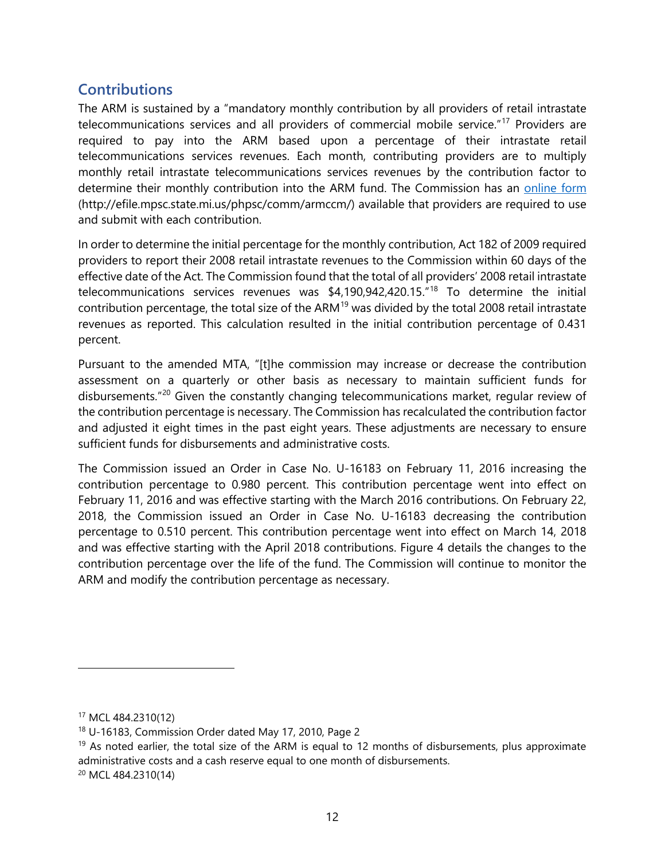#### <span id="page-17-0"></span>**Contributions**

The ARM is sustained by a "mandatory monthly contribution by all providers of retail intrastate telecommunications services and all providers of commercial mobile service."<sup>[17](#page-17-1)</sup> Providers are required to pay into the ARM based upon a percentage of their intrastate retail telecommunications services revenues. Each month, contributing providers are to multiply monthly retail intrastate telecommunications services revenues by the contribution factor to determine their monthly contribution into the ARM fund. The Commission has an [online form](https://w2.lara.state.mi.us/MPSC_Forms/armccm) (http://efile.mpsc.state.mi.us/phpsc/comm/armccm/) available that providers are required to use and submit with each contribution.

In order to determine the initial percentage for the monthly contribution, Act 182 of 2009 required providers to report their 2008 retail intrastate revenues to the Commission within 60 days of the effective date of the Act. The Commission found that the total of all providers' 2008 retail intrastate telecommunications services revenues was \$4,190,942,420.15."[18](#page-17-2) To determine the initial contribution percentage, the total size of the ARM<sup>[19](#page-17-3)</sup> was divided by the total 2008 retail intrastate revenues as reported. This calculation resulted in the initial contribution percentage of 0.431 percent.

Pursuant to the amended MTA, "[t]he commission may increase or decrease the contribution assessment on a quarterly or other basis as necessary to maintain sufficient funds for disbursements.<sup>"[20](#page-17-4)</sup> Given the constantly changing telecommunications market, regular review of the contribution percentage is necessary. The Commission has recalculated the contribution factor and adjusted it eight times in the past eight years. These adjustments are necessary to ensure sufficient funds for disbursements and administrative costs.

The Commission issued an Order in Case No. U-16183 on February 11, 2016 increasing the contribution percentage to 0.980 percent. This contribution percentage went into effect on February 11, 2016 and was effective starting with the March 2016 contributions. On February 22, 2018, the Commission issued an Order in Case No. U-16183 decreasing the contribution percentage to 0.510 percent. This contribution percentage went into effect on March 14, 2018 and was effective starting with the April 2018 contributions. Figure 4 details the changes to the contribution percentage over the life of the fund. The Commission will continue to monitor the ARM and modify the contribution percentage as necessary.

-

<span id="page-17-1"></span><sup>17</sup> MCL 484.2310(12)

<span id="page-17-2"></span><sup>18</sup> U-16183, Commission Order dated May 17, 2010, Page 2

<span id="page-17-3"></span> $19$  As noted earlier, the total size of the ARM is equal to 12 months of disbursements, plus approximate administrative costs and a cash reserve equal to one month of disbursements.

<span id="page-17-4"></span><sup>20</sup> MCL 484.2310(14)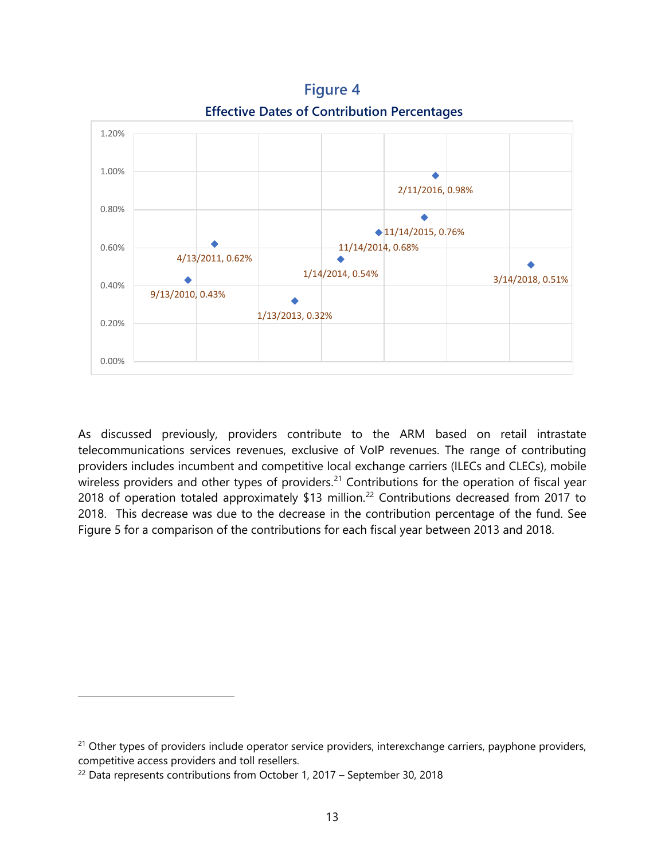**Effective Dates of Contribution Percentages** 1.20%1.00%  $\ddot{\bullet}$ 2/11/2016, 0.98% 0.80%  $\ddot{\bullet}$  $\bigcirc$  11/14/2015, 0.76% 0.60% 11/14/2014, 0.68% 4/13/2011, 0.62% ۰ 1/14/2014, 0.54% 3/14/2018, 0.51%  $\triangle$ 0.40% 9/13/2010, 0.43% 1/13/2013, 0.32% 0.20% 0.00%

**Figure 4**

As discussed previously, providers contribute to the ARM based on retail intrastate telecommunications services revenues, exclusive of VoIP revenues. The range of contributing providers includes incumbent and competitive local exchange carriers (ILECs and CLECs), mobile wireless providers and other types of providers.<sup>[21](#page-18-0)</sup> Contributions for the operation of fiscal year 2018 of operation totaled approximately \$13 million. [22](#page-18-1) Contributions decreased from 2017 to 2018. This decrease was due to the decrease in the contribution percentage of the fund. See Figure 5 for a comparison of the contributions for each fiscal year between 2013 and 2018.

<span id="page-18-0"></span><sup>&</sup>lt;sup>21</sup> Other types of providers include operator service providers, interexchange carriers, payphone providers, competitive access providers and toll resellers.

<span id="page-18-1"></span> $22$  Data represents contributions from October 1, 2017 – September 30, 2018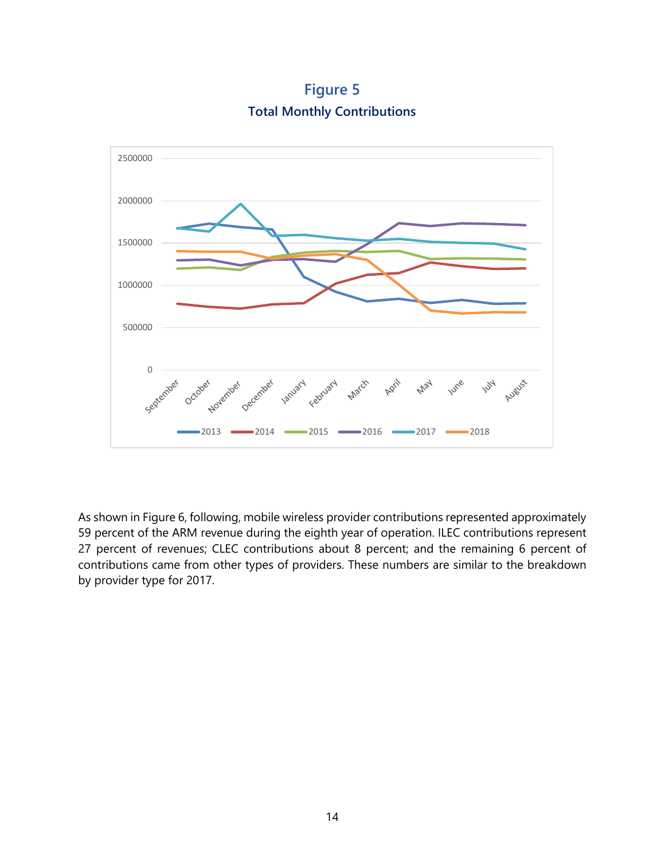**Figure 5 Total Monthly Contributions**



As shown in Figure 6, following, mobile wireless provider contributions represented approximately 59 percent of the ARM revenue during the eighth year of operation. ILEC contributions represent 27 percent of revenues; CLEC contributions about 8 percent; and the remaining 6 percent of contributions came from other types of providers. These numbers are similar to the breakdown by provider type for 2017.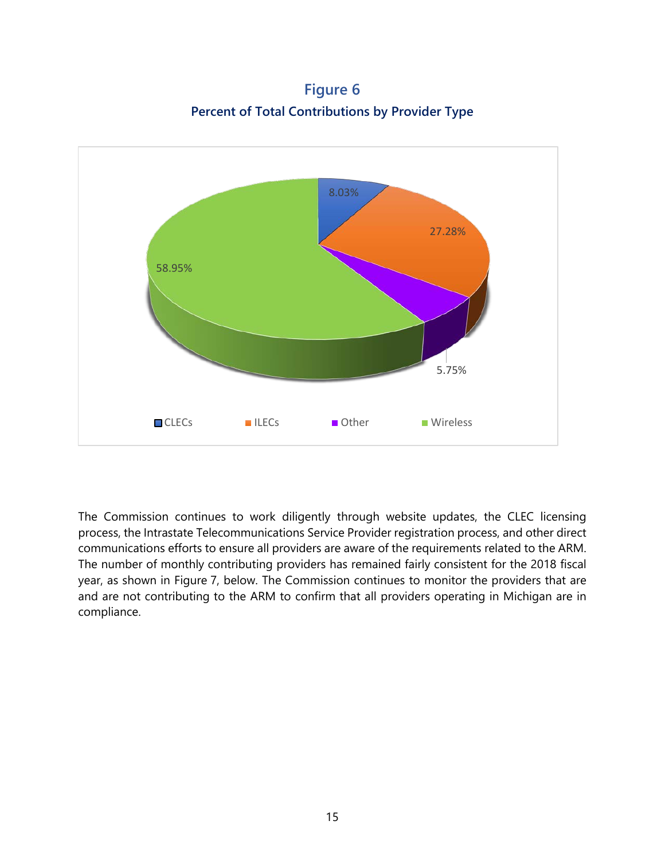**Figure 6 Percent of Total Contributions by Provider Type**



The Commission continues to work diligently through website updates, the CLEC licensing process, the Intrastate Telecommunications Service Provider registration process, and other direct communications efforts to ensure all providers are aware of the requirements related to the ARM. The number of monthly contributing providers has remained fairly consistent for the 2018 fiscal year, as shown in Figure 7, below. The Commission continues to monitor the providers that are and are not contributing to the ARM to confirm that all providers operating in Michigan are in compliance.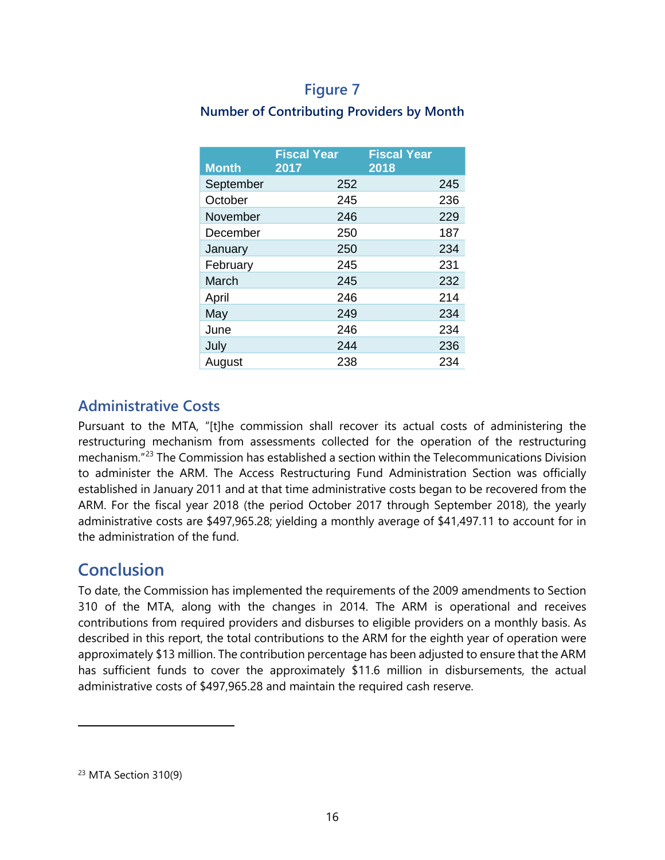#### **Figure 7**

#### **Number of Contributing Providers by Month**

| <b>Month</b> | <b>Fiscal Year</b><br>2017 | <b>Fiscal Year</b><br>2018 |     |
|--------------|----------------------------|----------------------------|-----|
| September    | 252                        |                            | 245 |
| October      | 245                        |                            | 236 |
| November     | 246                        |                            | 229 |
| December     | 250                        |                            | 187 |
| January      | 250                        |                            | 234 |
| February     | 245                        |                            | 231 |
| March        | 245                        |                            | 232 |
| April        | 246                        |                            | 214 |
| May          | 249                        |                            | 234 |
| June         | 246                        |                            | 234 |
| July         | 244                        |                            | 236 |
| August       | 238                        |                            | 234 |

#### <span id="page-21-0"></span>**Administrative Costs**

Pursuant to the MTA, "[t]he commission shall recover its actual costs of administering the restructuring mechanism from assessments collected for the operation of the restructuring mechanism."[23](#page-21-2) The Commission has established a section within the Telecommunications Division to administer the ARM. The Access Restructuring Fund Administration Section was officially established in January 2011 and at that time administrative costs began to be recovered from the ARM. For the fiscal year 2018 (the period October 2017 through September 2018), the yearly administrative costs are \$497,965.28; yielding a monthly average of \$41,497.11 to account for in the administration of the fund.

## <span id="page-21-1"></span>**Conclusion**

To date, the Commission has implemented the requirements of the 2009 amendments to Section 310 of the MTA, along with the changes in 2014. The ARM is operational and receives contributions from required providers and disburses to eligible providers on a monthly basis. As described in this report, the total contributions to the ARM for the eighth year of operation were approximately \$13 million. The contribution percentage has been adjusted to ensure that the ARM has sufficient funds to cover the approximately \$11.6 million in disbursements, the actual administrative costs of \$497,965.28 and maintain the required cash reserve.

<span id="page-21-2"></span><sup>23</sup> MTA Section 310(9)